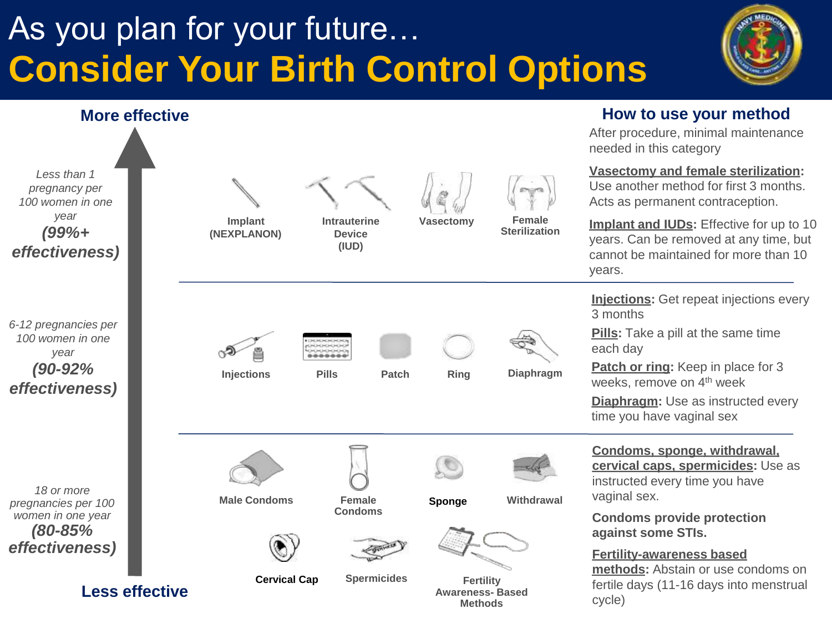## As you plan for your future… **Consider Your Birth Control Options**